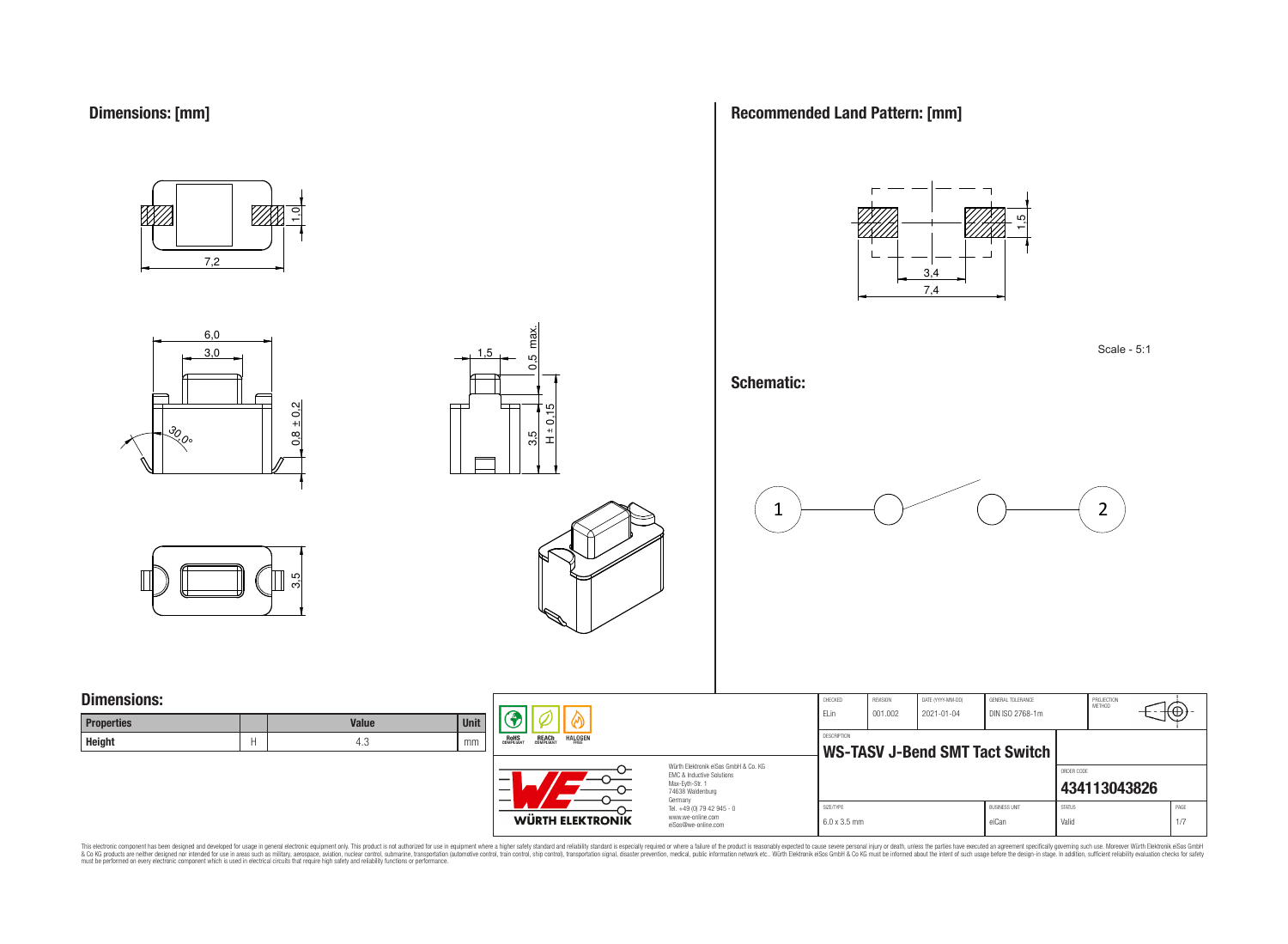

6,0 3,0

<u>રુ</u><br>રુ







#### **Schematic:**







## **Dimensions:**

| <b>Properties</b> | <b>Value</b> | <b>Unit</b> |
|-------------------|--------------|-------------|
| <b>Height</b>     | ن.4          | mm          |

 $0.8 \pm 0.2$ 



WÜRTH ELEKTRONIK

 $3.5$   $\leftarrow$   $10.5$  max.

3.5

 $\max$ LC. ö

1,5

 $\frac{1}{2}$ 

Würth Elektronik eiSos GmbH & Co. KG EMC & Inductive Solutions Max-Eyth-Str. 1 74638 Waldenburg Germany Tel. +49 (0) 79 42 945 - 0 www.we-online.com eiSos@we-online.com

| CHECKED             | <b>REVISION</b> | DATE (YYYY-MM-DD) | GENERAL TOLERANCE                     |               | PROJECTION<br><b>METHOD</b> |      |
|---------------------|-----------------|-------------------|---------------------------------------|---------------|-----------------------------|------|
| FI in               | 001.002         | $2021 - 01 - 04$  | DIN ISO 2768-1m                       |               |                             | €.   |
|                     |                 |                   |                                       |               |                             |      |
| <b>DESCRIPTION</b>  |                 |                   |                                       |               |                             |      |
|                     |                 |                   | <b>WS-TASV J-Bend SMT Tact Switch</b> |               |                             |      |
|                     |                 |                   |                                       |               |                             |      |
|                     |                 |                   |                                       | ORDER CODE    |                             |      |
|                     |                 |                   |                                       |               | 434113043826                |      |
|                     |                 |                   |                                       |               |                             |      |
| SIZE/TYPE           |                 |                   | <b>BUSINESS UNIT</b>                  | <b>STATUS</b> |                             | PAGE |
| $6.0 \times 3.5$ mm |                 |                   | eiCan                                 | Valid         |                             | 1/7  |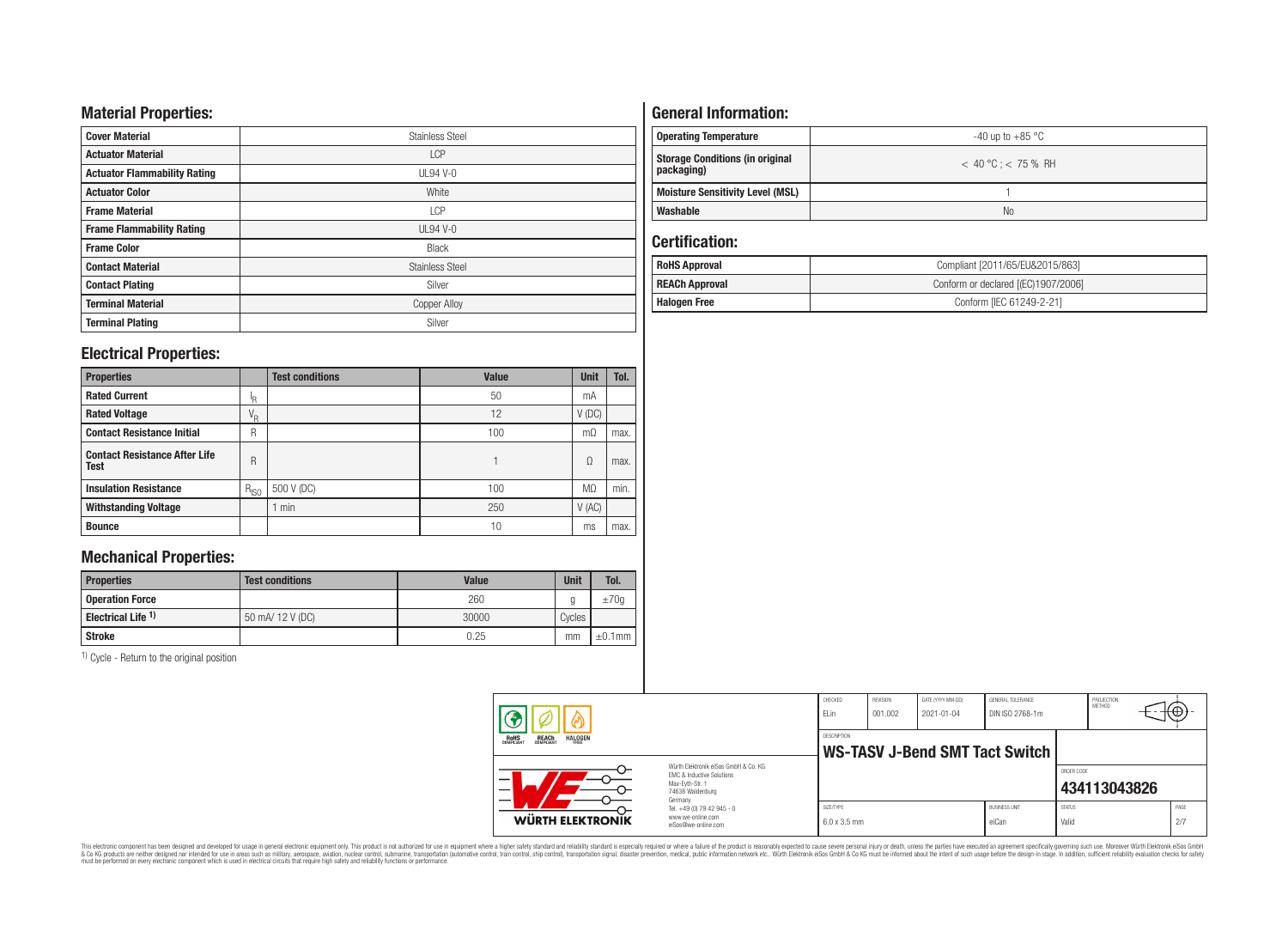## **Material Properties:**

| <b>Cover Material</b>               | <b>Stainless Steel</b> |
|-------------------------------------|------------------------|
| <b>Actuator Material</b>            | <b>LCP</b>             |
| <b>Actuator Flammability Rating</b> | UL94 V-0               |
| <b>Actuator Color</b>               | White                  |
| <b>Frame Material</b>               | <b>LCP</b>             |
| <b>Frame Flammability Rating</b>    | $UL94V-0$              |
| <b>Frame Color</b>                  | <b>Black</b>           |
| <b>Contact Material</b>             | <b>Stainless Steel</b> |
| <b>Contact Plating</b>              | Silver                 |
| <b>Terminal Material</b>            | <b>Copper Alloy</b>    |
| <b>Terminal Plating</b>             | Silver                 |

## **Electrical Properties:**

| <b>Properties</b>                                   |           | <b>Test conditions</b> | <b>Value</b> | <b>Unit</b>    | Tol. |
|-----------------------------------------------------|-----------|------------------------|--------------|----------------|------|
| <b>Rated Current</b>                                | ΙR        |                        | 50           | mA             |      |
| <b>Rated Voltage</b>                                | $V_R$     |                        | 12           | $V$ (DC)       |      |
| <b>Contact Resistance Initial</b>                   | R         |                        | 100          | mО             | max. |
| <b>Contact Resistance After Life</b><br><b>Test</b> | R         |                        |              | Ω              | max. |
| <b>Insulation Resistance</b>                        | $R_{ISO}$ | 500 V (DC)             | 100          | M <sub>0</sub> | min. |
| <b>Withstanding Voltage</b>                         |           | min                    | 250          | V(AC)          |      |
| <b>Bounce</b>                                       |           |                        | 10           | ms             | max. |

# **Mechanical Properties:**

| <b>Properties</b>             | <b>Test conditions</b> | Value | <b>Unit</b> | Tol.         |
|-------------------------------|------------------------|-------|-------------|--------------|
| <b>Operation Force</b>        |                        | 260   |             | ±70q         |
| Electrical Life <sup>1)</sup> | 50 mA/ 12 V (DC)       | 30000 | Cycles      |              |
| Stroke                        |                        | 0.25  | mm          | $\pm 0.1$ mm |

1) Cycle - Return to the original position

# **General Information:**

| <b>Operating Temperature</b>                         | -40 up to $+85\,^{\circ}\mathrm{C}$ |
|------------------------------------------------------|-------------------------------------|
| <b>Storage Conditions (in original</b><br>packaging) | $< 40 °C$ : $< 75 %$ RH             |
| <b>Moisture Sensitivity Level (MSL)</b>              |                                     |
| Washable                                             | N <sub>0</sub>                      |

## **Certification:**

| <b>RoHS Approval</b>                                         | Compliant [2011/65/EU&2015/863] |  |  |  |  |
|--------------------------------------------------------------|---------------------------------|--|--|--|--|
| Conform or declared [(EC)1907/2006]<br><b>REACh Approval</b> |                                 |  |  |  |  |
| <b>Halogen Free</b>                                          | Conform [IEC 61249-2-21]        |  |  |  |  |

|                                                                  |                                                                                                                                | CHECKED<br>ELin                  | REVISION<br>001.002 | DATE (YYYY-MM-DD)<br>$2021 - 01 - 04$ | GENERAL TOLERANCE<br>DIN ISO 2768-1m |                        | PROJECTION<br>METHOD | ₩           |
|------------------------------------------------------------------|--------------------------------------------------------------------------------------------------------------------------------|----------------------------------|---------------------|---------------------------------------|--------------------------------------|------------------------|----------------------|-------------|
| <b>REACH</b><br>COMPLIANT<br><b>HALOGEN</b><br>ROHS<br>COMPLIANT |                                                                                                                                | <b>DESCRIPTION</b>               |                     |                                       | WS-TASV J-Bend SMT Tact Switch       |                        |                      |             |
|                                                                  | Würth Elektronik eiSos GmbH & Co. KG<br><b>EMC &amp; Inductive Solutions</b><br>Max-Evth-Str. 1<br>74638 Waldenburg<br>Germany |                                  |                     |                                       |                                      | ORDER CODE             | 434113043826         |             |
| WÜRTH ELEKTRONIK                                                 | Tel. +49 (0) 79 42 945 - 0<br>www.we-online.com<br>eiSos@we-online.com                                                         | SIZE/TYPE<br>$6.0 \times 3.5$ mm |                     |                                       | <b>BUSINESS UNIT</b><br>eiCan        | <b>STATUS</b><br>Valid |                      | PAGE<br>2/7 |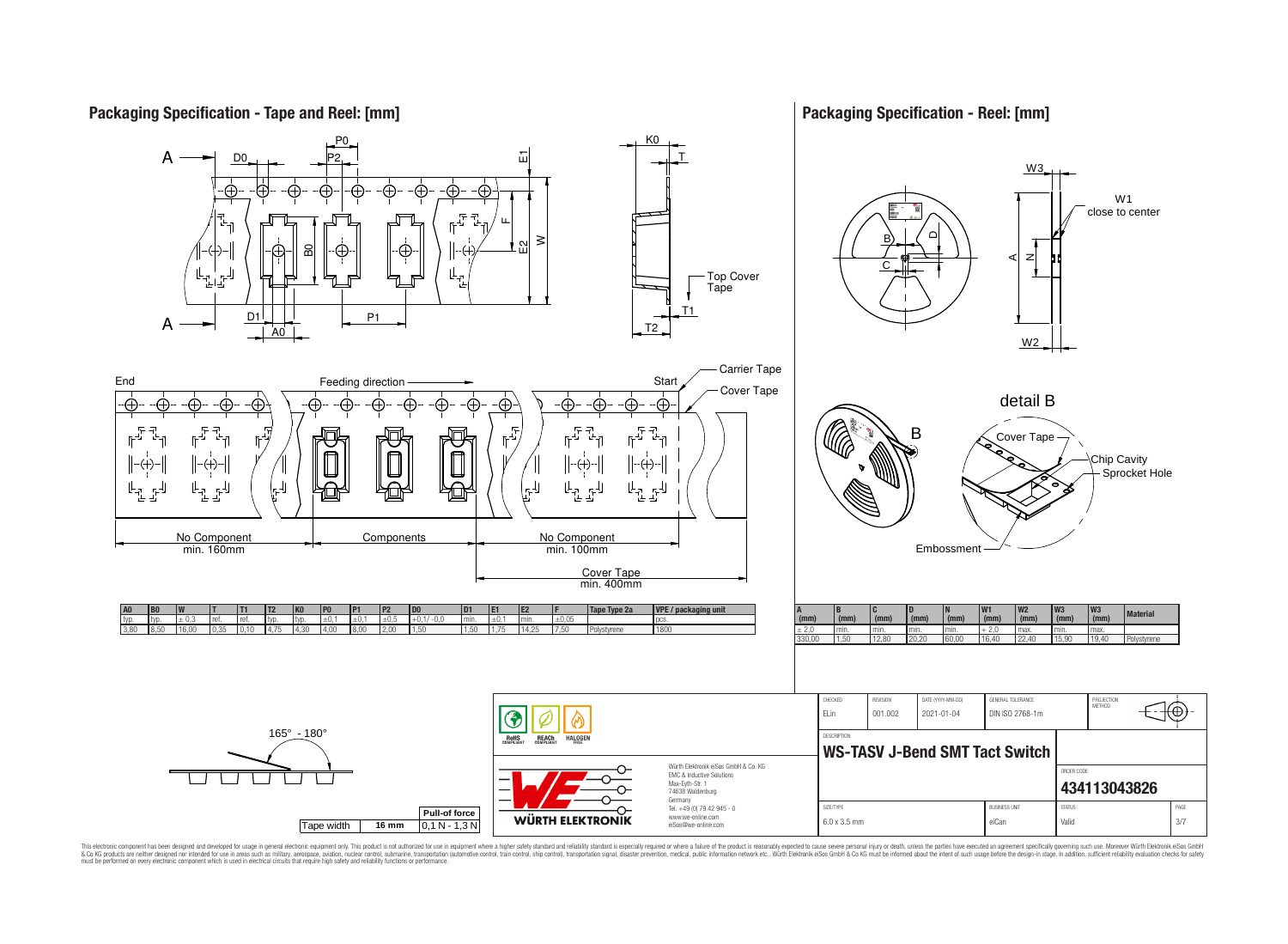## **Packaging Specification - Tape and Reel: [mm]**

## **Packaging Specification - Reel: [mm]**

1⊕

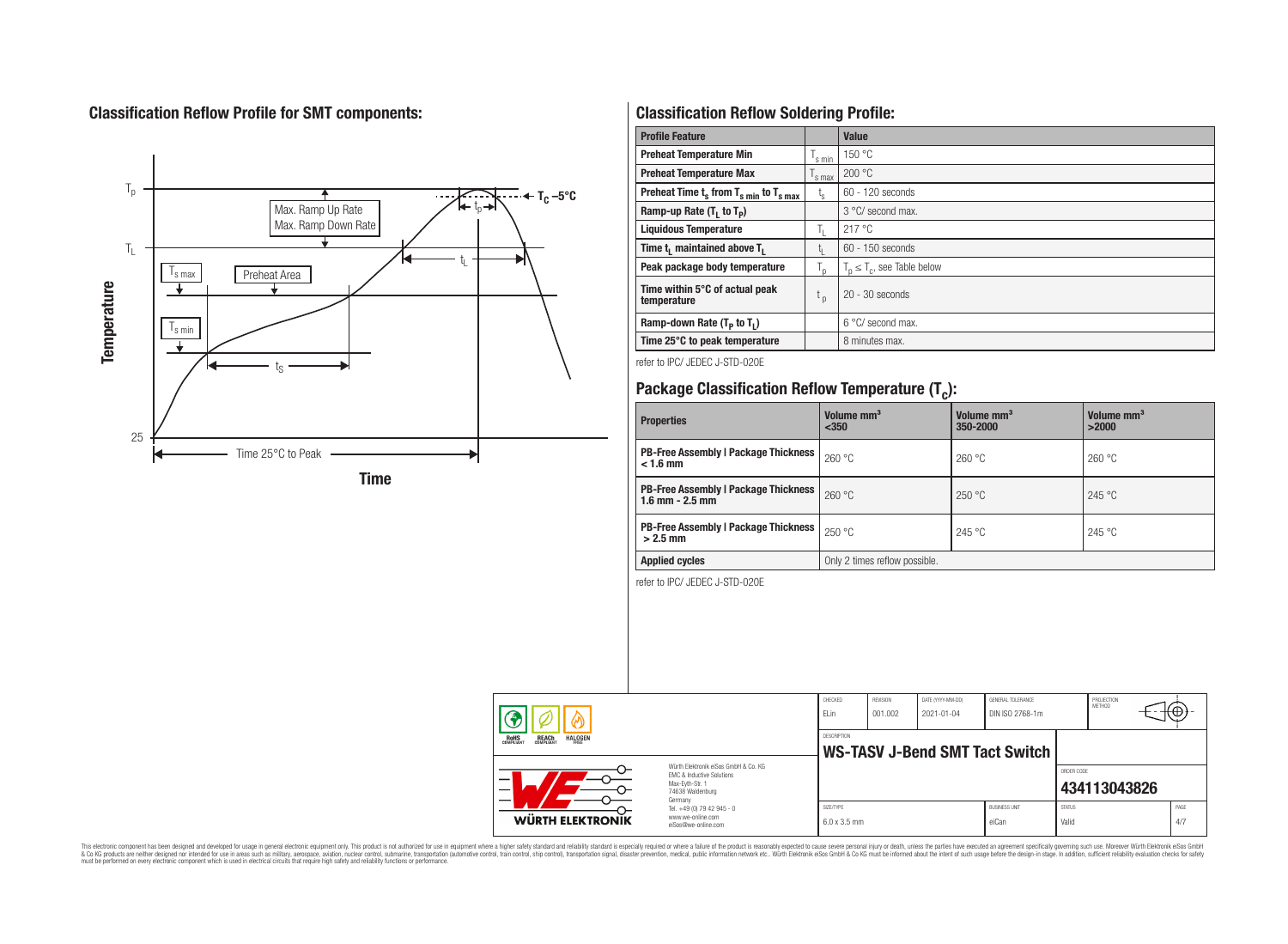# **Classification Reflow Profile for SMT components:**



# **Classification Reflow Soldering Profile:**

| <b>Profile Feature</b>                              |                    | <b>Value</b>                     |
|-----------------------------------------------------|--------------------|----------------------------------|
| <b>Preheat Temperature Min</b>                      | 's min             | 150 °C                           |
| <b>Preheat Temperature Max</b>                      | <sup>I</sup> s max | 200 °C                           |
| Preheat Time $t_s$ from $T_{s,min}$ to $T_{s,max}$  | $t_{s}$            | $60 - 120$ seconds               |
| Ramp-up Rate $(T_1$ to $T_p$ )                      |                    | 3 °C/ second max.                |
| <b>Liquidous Temperature</b>                        | Ъ.                 | 217 °C                           |
| Time t <sub>1</sub> maintained above T <sub>1</sub> | Ţ.                 | 60 - 150 seconds                 |
| Peak package body temperature                       | $T_{p}$            | $T_n \leq T_c$ , see Table below |
| Time within 5°C of actual peak<br>temperature       | $t_{p}$            | $20 - 30$ seconds                |
| Ramp-down Rate $(T_P$ to $T_I$ )                    |                    | $6^{\circ}$ C/ second max.       |
| Time 25°C to peak temperature                       |                    | 8 minutes max.                   |

refer to IPC/ JEDEC J-STD-020E

# **Package Classification Reflow Temperature (T<sup>c</sup> ):**

| <b>Properties</b>                                                  | Volume mm <sup>3</sup><br>$350$ | Volume mm <sup>3</sup><br>350-2000 | Volume mm <sup>3</sup><br>>2000 |  |  |
|--------------------------------------------------------------------|---------------------------------|------------------------------------|---------------------------------|--|--|
| <b>PB-Free Assembly   Package Thickness  </b><br>$< 1.6$ mm        | 260 °C                          | 260 °C                             | 260 °C                          |  |  |
| <b>PB-Free Assembly   Package Thickness</b><br>$1.6$ mm $- 2.5$ mm | 260 °C                          | 250 °C                             | 245 °C                          |  |  |
| <b>PB-Free Assembly   Package Thickness</b><br>$>2.5$ mm           | 250 °C                          | 245 °C                             | 245 °C                          |  |  |
| <b>Applied cycles</b>                                              | Only 2 times reflow possible.   |                                    |                                 |  |  |

refer to IPC/ JEDEC J-STD-020E

|                                                                                 |                                                                                                                     | CHECKED<br>ELin                  | <b>REVISION</b><br>001.002 | DATE (YYYY-MM-DD)<br>2021-01-04 | GENERAL TOLERANCE<br>DIN ISO 2768-1m |                        | PROJECTION<br><b>MFTHOD</b> |             |
|---------------------------------------------------------------------------------|---------------------------------------------------------------------------------------------------------------------|----------------------------------|----------------------------|---------------------------------|--------------------------------------|------------------------|-----------------------------|-------------|
| <b>REACH</b><br>COMPLIANT<br><b>HALOGEN</b><br><b>ROHS</b><br>COMPLIANT<br>FRFF |                                                                                                                     | <b>DESCRIPTION</b>               |                            |                                 | WS-TASV J-Bend SMT Tact Switch       |                        |                             |             |
| —<br>$\overline{\phantom{0}}$                                                   | Würth Elektronik eiSos GmbH & Co. KG<br>FMC & Inductive Solutions<br>Max-Eyth-Str. 1<br>74638 Waldenburg<br>Germany |                                  |                            |                                 |                                      | ORDER CODE             | 434113043826                |             |
| WÜRTH ELEKTRONIK                                                                | Tel. +49 (0) 79 42 945 - 0<br>www.we-online.com<br>eiSos@we-online.com                                              | SIZE/TYPE<br>$6.0 \times 3.5$ mm |                            |                                 | <b>BUSINESS UNIT</b><br>eiCan        | <b>STATUS</b><br>Valid |                             | PAGE<br>4/7 |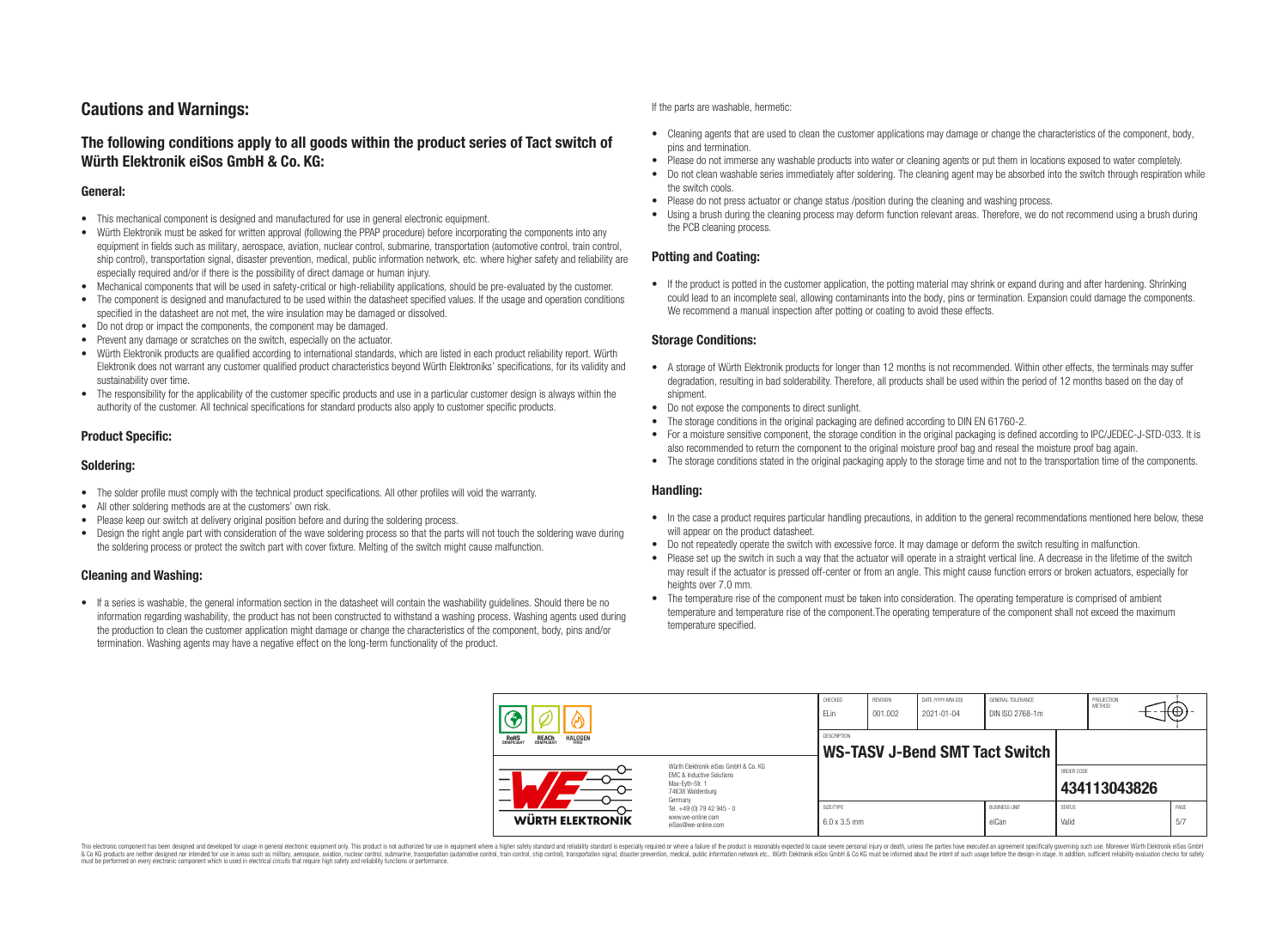# **Cautions and Warnings:**

## **The following conditions apply to all goods within the product series of Tact switch of Würth Elektronik eiSos GmbH & Co. KG:**

#### **General:**

- This mechanical component is designed and manufactured for use in general electronic equipment.
- Würth Elektronik must be asked for written approval (following the PPAP procedure) before incorporating the components into any equipment in fields such as military, aerospace, aviation, nuclear control, submarine, transportation (automotive control, train control, ship control), transportation signal, disaster prevention, medical, public information network, etc. where higher safety and reliability are especially required and/or if there is the possibility of direct damage or human injury.
- Mechanical components that will be used in safety-critical or high-reliability applications, should be pre-evaluated by the customer.
- The component is designed and manufactured to be used within the datasheet specified values. If the usage and operation conditions specified in the datasheet are not met, the wire insulation may be damaged or dissolved.
- Do not drop or impact the components, the component may be damaged.
- Prevent any damage or scratches on the switch, especially on the actuator.
- Würth Elektronik products are qualified according to international standards, which are listed in each product reliability report. Würth Elektronik does not warrant any customer qualified product characteristics beyond Würth Elektroniks' specifications, for its validity and sustainability over time.
- The responsibility for the applicability of the customer specific products and use in a particular customer design is always within the authority of the customer. All technical specifications for standard products also apply to customer specific products.

#### **Product Specific:**

#### **Soldering:**

- The solder profile must comply with the technical product specifications. All other profiles will void the warranty.
- All other soldering methods are at the customers' own risk.
- Please keep our switch at delivery original position before and during the soldering process.
- Design the right angle part with consideration of the wave soldering process so that the parts will not touch the soldering wave during the soldering process or protect the switch part with cover fixture. Melting of the switch might cause malfunction.

#### **Cleaning and Washing:**

• If a series is washable, the general information section in the datasheet will contain the washability guidelines. Should there be no information regarding washability, the product has not been constructed to withstand a washing process. Washing agents used during the production to clean the customer application might damage or change the characteristics of the component, body, pins and/or termination. Washing agents may have a negative effect on the long-term functionality of the product.

If the parts are washable, hermetic:

- Cleaning agents that are used to clean the customer applications may damage or change the characteristics of the component, body, pins and termination.
- Please do not immerse any washable products into water or cleaning agents or put them in locations exposed to water completely.
- Do not clean washable series immediately after soldering. The cleaning agent may be absorbed into the switch through respiration while the switch cools.
- Please do not press actuator or change status /position during the cleaning and washing process.
- Using a brush during the cleaning process may deform function relevant areas. Therefore, we do not recommend using a brush during the PCB cleaning process.

#### **Potting and Coating:**

• If the product is potted in the customer application, the potting material may shrink or expand during and after hardening. Shrinking could lead to an incomplete seal, allowing contaminants into the body, pins or termination. Expansion could damage the components. We recommend a manual inspection after potting or coating to avoid these effects.

#### **Storage Conditions:**

- A storage of Würth Elektronik products for longer than 12 months is not recommended. Within other effects, the terminals may suffer degradation, resulting in bad solderability. Therefore, all products shall be used within the period of 12 months based on the day of shipment.
- Do not expose the components to direct sunlight.
- The storage conditions in the original packaging are defined according to DIN EN 61760-2.
- For a moisture sensitive component, the storage condition in the original packaging is defined according to IPC/JEDEC-J-STD-033. It is also recommended to return the component to the original moisture proof bag and reseal the moisture proof bag again.
- The storage conditions stated in the original packaging apply to the storage time and not to the transportation time of the components.

#### **Handling:**

- In the case a product requires particular handling precautions, in addition to the general recommendations mentioned here below, these will appear on the product datasheet.
- Do not repeatedly operate the switch with excessive force. It may damage or deform the switch resulting in malfunction.
- Please set up the switch in such a way that the actuator will operate in a straight vertical line. A decrease in the lifetime of the switch may result if the actuator is pressed off-center or from an angle. This might cause function errors or broken actuators, especially for heights over 7.0 mm.
- The temperature rise of the component must be taken into consideration. The operating temperature is comprised of ambient temperature and temperature rise of the component.The operating temperature of the component shall not exceed the maximum temperature specified.

|                                                                                 |                                                                                                                     | CHECKED<br>ELin                  | <b>REVISION</b><br>001.002 | DATE (YYYY-MM-DD)<br>2021-01-04 | GENERAL TOLERANCE<br>DIN ISO 2768-1m  |                        | PROJECTION<br><b>METHOD</b> | ťΨ          |
|---------------------------------------------------------------------------------|---------------------------------------------------------------------------------------------------------------------|----------------------------------|----------------------------|---------------------------------|---------------------------------------|------------------------|-----------------------------|-------------|
| <b>ROHS</b><br>COMPLIANT<br><b>REACH</b><br>COMPLIANT<br><b>HALOGEN</b><br>FRFF |                                                                                                                     | DESCRIPTION                      |                            |                                 | <b>WS-TASV J-Bend SMT Tact Switch</b> |                        |                             |             |
|                                                                                 | Würth Flektronik eiSos GmbH & Co. KG<br>FMC & Inductive Solutions<br>Max-Evth-Str. 1<br>74638 Waldenburg<br>Germany |                                  |                            |                                 |                                       | ORDER CODE             | 434113043826                |             |
| WÜRTH ELEKTRONIK                                                                | Tel. +49 (0) 79 42 945 - 0<br>www.we-online.com<br>eiSos@we-online.com                                              | SIZE/TYPE<br>$6.0 \times 3.5$ mm |                            |                                 | <b>BUSINESS UNIT</b><br>eiCan         | <b>STATUS</b><br>Valid |                             | PAGE<br>5/7 |

This electronic component has been designed and developed for usage in general electronic equipment only. This product is not authorized for use in equipment where a higher safety standard and reliability standard is espec & Ook product a label and the membed of the seasuch as marked and as which such a membed and the such assume that income in the seasuch and the simulation and the such assume that include to the such a membed and the such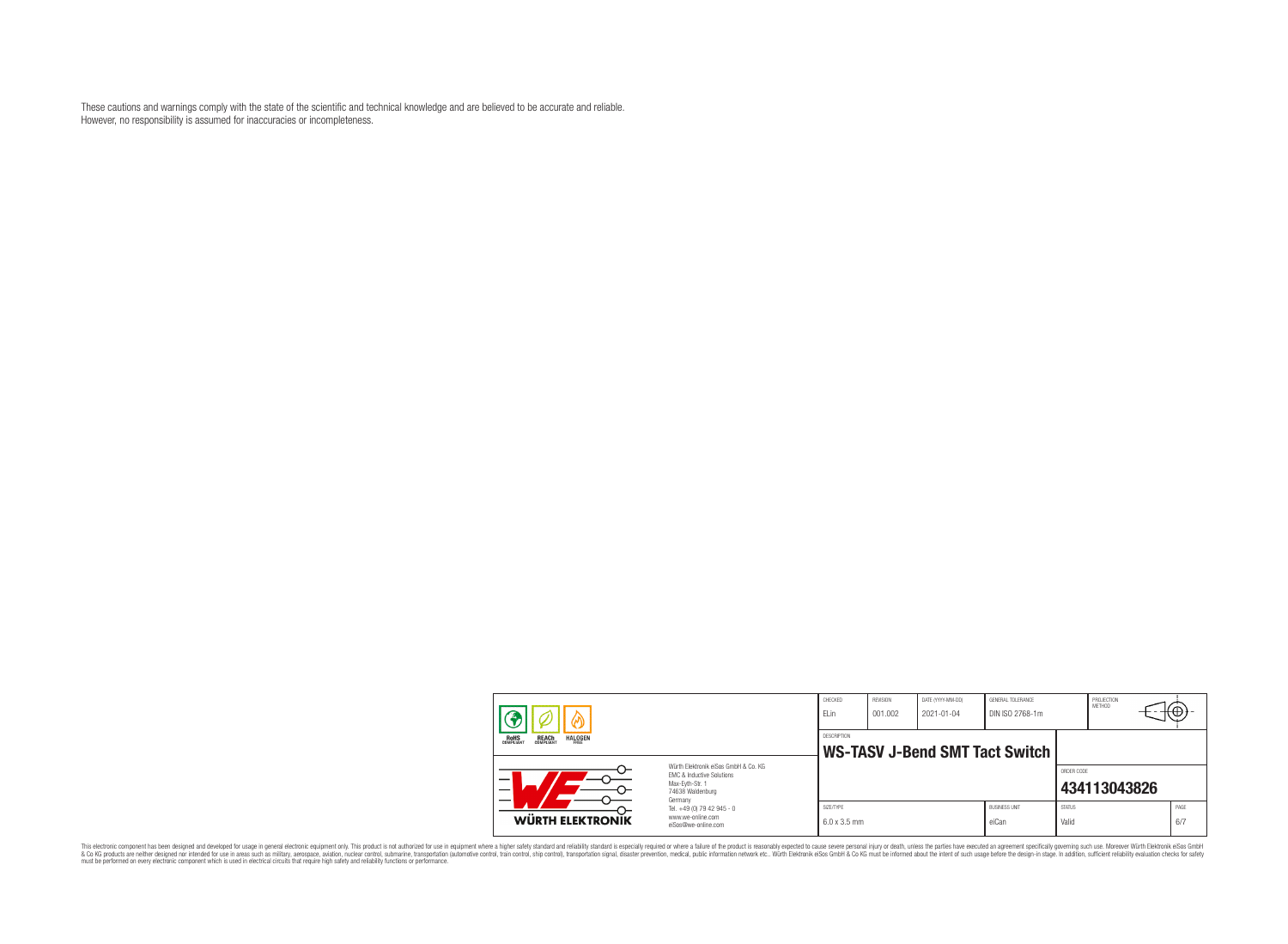These cautions and warnings comply with the state of the scientific and technical knowledge and are believed to be accurate and reliable. However, no responsibility is assumed for inaccuracies or incompleteness.

| <b>REACH</b><br>COMPLIANT<br><b>ROHS</b><br><b>HALOGEN</b><br>FRFF |                                                                                                                                                                                               | CHECKED<br>ELin                  | REVISION<br>001.002                   | DATE (YYYY-MM-DD)<br>$2021 - 01 - 04$ | GENERAL TOLERANCE<br>DIN ISO 2768-1m |                        | PROJECTION<br><b>METHOD</b> | ₩.          |
|--------------------------------------------------------------------|-----------------------------------------------------------------------------------------------------------------------------------------------------------------------------------------------|----------------------------------|---------------------------------------|---------------------------------------|--------------------------------------|------------------------|-----------------------------|-------------|
|                                                                    |                                                                                                                                                                                               | DESCRIPTION                      | <b>WS-TASV J-Bend SMT Tact Switch</b> |                                       |                                      |                        |                             |             |
| $\overline{\phantom{0}}$<br>$\overline{\phantom{0}}$               | Würth Flektronik eiSos GmbH & Co. KG<br>FMC & Inductive Solutions<br>Max-Evth-Str. 1<br>74638 Waldenburg<br>Germany<br>Tel. +49 (0) 79 42 945 - 0<br>www.we-online.com<br>eiSos@we-online.com |                                  |                                       |                                       |                                      | ORDER CODE             | 434113043826                |             |
| WÜRTH ELEKTRONIK                                                   |                                                                                                                                                                                               | SIZE/TYPE<br>$6.0 \times 3.5$ mm |                                       |                                       | <b>BUSINESS UNIT</b><br>eiCan        | <b>STATUS</b><br>Valid |                             | PAGE<br>6/7 |